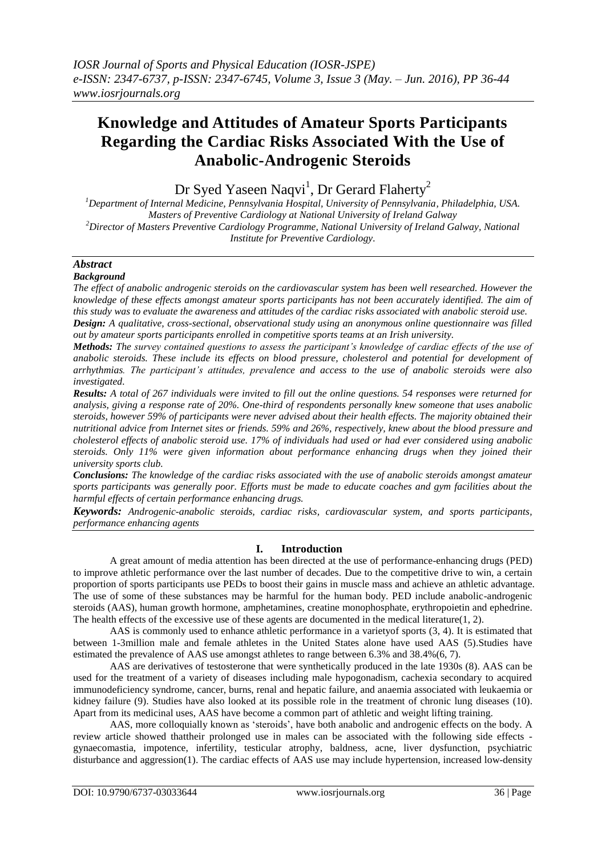# **Knowledge and Attitudes of Amateur Sports Participants Regarding the Cardiac Risks Associated With the Use of Anabolic-Androgenic Steroids**

Dr Syed Yaseen Naqvi<sup>1</sup>, Dr Gerard Flaherty<sup>2</sup>

*<sup>1</sup>Department of Internal Medicine, Pennsylvania Hospital, University of Pennsylvania, Philadelphia, USA. Masters of Preventive Cardiology at National University of Ireland Galway <sup>2</sup>Director of Masters Preventive Cardiology Programme, National University of Ireland Galway, National Institute for Preventive Cardiology.*

# *Abstract*

#### *Background*

*The effect of anabolic androgenic steroids on the cardiovascular system has been well researched. However the knowledge of these effects amongst amateur sports participants has not been accurately identified. The aim of this study was to evaluate the awareness and attitudes of the cardiac risks associated with anabolic steroid use.*

*Design: A qualitative, cross-sectional, observational study using an anonymous online questionnaire was filled out by amateur sports participants enrolled in competitive sports teams at an Irish university.* 

*Methods: The survey contained questions to assess the participant's knowledge of cardiac effects of the use of anabolic steroids. These include its effects on blood pressure, cholesterol and potential for development of arrhythmias. The participant's attitudes, prevalence and access to the use of anabolic steroids were also investigated.* 

*Results: A total of 267 individuals were invited to fill out the online questions. 54 responses were returned for analysis, giving a response rate of 20%. One-third of respondents personally knew someone that uses anabolic steroids, however 59% of participants were never advised about their health effects. The majority obtained their nutritional advice from Internet sites or friends. 59% and 26%, respectively, knew about the blood pressure and cholesterol effects of anabolic steroid use. 17% of individuals had used or had ever considered using anabolic steroids. Only 11% were given information about performance enhancing drugs when they joined their university sports club.*

*Conclusions: The knowledge of the cardiac risks associated with the use of anabolic steroids amongst amateur sports participants was generally poor. Efforts must be made to educate coaches and gym facilities about the harmful effects of certain performance enhancing drugs.* 

*Keywords: Androgenic-anabolic steroids, cardiac risks, cardiovascular system, and sports participants, performance enhancing agents*

# **I. Introduction**

A great amount of media attention has been directed at the use of performance-enhancing drugs (PED) to improve athletic performance over the last number of decades. Due to the competitive drive to win, a certain proportion of sports participants use PEDs to boost their gains in muscle mass and achieve an athletic advantage. The use of some of these substances may be harmful for the human body. PED include anabolic-androgenic steroids (AAS), human growth hormone, amphetamines, creatine monophosphate, erythropoietin and ephedrine. The health effects of the excessive use of these agents are documented in the medical literature(1, 2).

AAS is commonly used to enhance athletic performance in a varietyof sports (3, 4). It is estimated that between 1-3million male and female athletes in the United States alone have used AAS (5).Studies have estimated the prevalence of AAS use amongst athletes to range between 6.3% and 38.4%(6, 7).

AAS are derivatives of testosterone that were synthetically produced in the late 1930s (8). AAS can be used for the treatment of a variety of diseases including male hypogonadism, cachexia secondary to acquired immunodeficiency syndrome, cancer, burns, renal and hepatic failure, and anaemia associated with leukaemia or kidney failure (9). Studies have also looked at its possible role in the treatment of chronic lung diseases (10). Apart from its medicinal uses, AAS have become a common part of athletic and weight lifting training.

AAS, more colloquially known as 'steroids', have both anabolic and androgenic effects on the body. A review article showed thattheir prolonged use in males can be associated with the following side effects gynaecomastia, impotence, infertility, testicular atrophy, baldness, acne, liver dysfunction, psychiatric disturbance and aggression(1). The cardiac effects of AAS use may include hypertension, increased low-density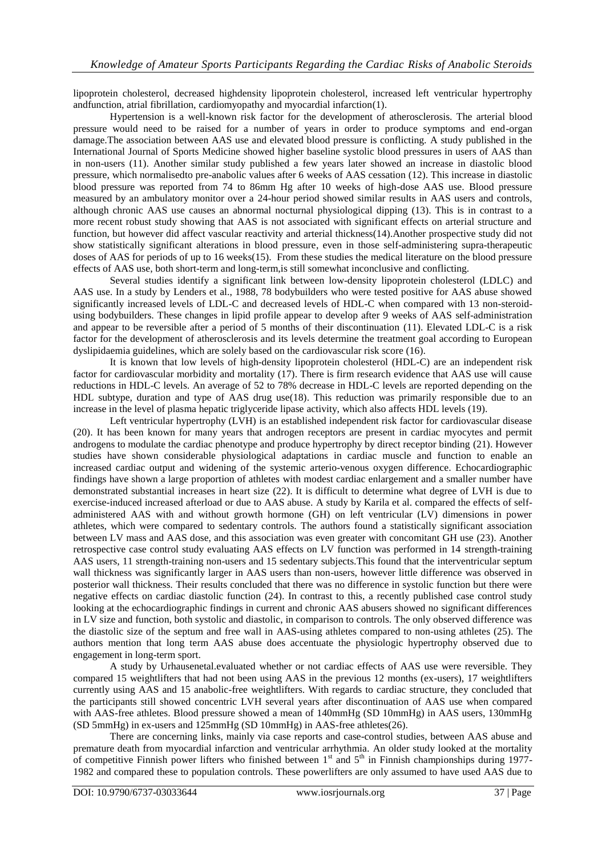lipoprotein cholesterol, decreased highdensity lipoprotein cholesterol, increased left ventricular hypertrophy andfunction, atrial fibrillation, cardiomyopathy and myocardial infarction(1).

Hypertension is a well-known risk factor for the development of atherosclerosis. The arterial blood pressure would need to be raised for a number of years in order to produce symptoms and end-organ damage.The association between AAS use and elevated blood pressure is conflicting. A study published in the International Journal of Sports Medicine showed higher baseline systolic blood pressures in users of AAS than in non-users (11). Another similar study published a few years later showed an increase in diastolic blood pressure, which normalisedto pre-anabolic values after 6 weeks of AAS cessation (12). This increase in diastolic blood pressure was reported from 74 to 86mm Hg after 10 weeks of high-dose AAS use. Blood pressure measured by an ambulatory monitor over a 24-hour period showed similar results in AAS users and controls, although chronic AAS use causes an abnormal nocturnal physiological dipping (13). This is in contrast to a more recent robust study showing that AAS is not associated with significant effects on arterial structure and function, but however did affect vascular reactivity and arterial thickness(14).Another prospective study did not show statistically significant alterations in blood pressure, even in those self-administering supra-therapeutic doses of AAS for periods of up to 16 weeks(15). From these studies the medical literature on the blood pressure effects of AAS use, both short-term and long-term,is still somewhat inconclusive and conflicting.

Several studies identify a significant link between low-density lipoprotein cholesterol (LDLC) and AAS use. In a study by Lenders et al., 1988, 78 bodybuilders who were tested positive for AAS abuse showed significantly increased levels of LDL-C and decreased levels of HDL-C when compared with 13 non-steroidusing bodybuilders. These changes in lipid profile appear to develop after 9 weeks of AAS self-administration and appear to be reversible after a period of 5 months of their discontinuation (11). Elevated LDL-C is a risk factor for the development of atherosclerosis and its levels determine the treatment goal according to European dyslipidaemia guidelines, which are solely based on the cardiovascular risk score (16).

It is known that low levels of high-density lipoprotein cholesterol (HDL-C) are an independent risk factor for cardiovascular morbidity and mortality (17). There is firm research evidence that AAS use will cause reductions in HDL-C levels. An average of 52 to 78% decrease in HDL-C levels are reported depending on the HDL subtype, duration and type of AAS drug use(18). This reduction was primarily responsible due to an increase in the level of plasma hepatic triglyceride lipase activity, which also affects HDL levels (19).

Left ventricular hypertrophy (LVH) is an established independent risk factor for cardiovascular disease (20). It has been known for many years that androgen receptors are present in cardiac myocytes and permit androgens to modulate the cardiac phenotype and produce hypertrophy by direct receptor binding (21). However studies have shown considerable physiological adaptations in cardiac muscle and function to enable an increased cardiac output and widening of the systemic arterio-venous oxygen difference. Echocardiographic findings have shown a large proportion of athletes with modest cardiac enlargement and a smaller number have demonstrated substantial increases in heart size (22). It is difficult to determine what degree of LVH is due to exercise-induced increased afterload or due to AAS abuse. A study by Karila et al. compared the effects of selfadministered AAS with and without growth hormone (GH) on left ventricular (LV) dimensions in power athletes, which were compared to sedentary controls. The authors found a statistically significant association between LV mass and AAS dose, and this association was even greater with concomitant GH use (23). Another retrospective case control study evaluating AAS effects on LV function was performed in 14 strength-training AAS users, 11 strength-training non-users and 15 sedentary subjects.This found that the interventricular septum wall thickness was significantly larger in AAS users than non-users, however little difference was observed in posterior wall thickness. Their results concluded that there was no difference in systolic function but there were negative effects on cardiac diastolic function (24). In contrast to this, a recently published case control study looking at the echocardiographic findings in current and chronic AAS abusers showed no significant differences in LV size and function, both systolic and diastolic, in comparison to controls. The only observed difference was the diastolic size of the septum and free wall in AAS-using athletes compared to non-using athletes (25). The authors mention that long term AAS abuse does accentuate the physiologic hypertrophy observed due to engagement in long-term sport.

A study by Urhausenetal.evaluated whether or not cardiac effects of AAS use were reversible. They compared 15 weightlifters that had not been using AAS in the previous 12 months (ex-users), 17 weightlifters currently using AAS and 15 anabolic-free weightlifters. With regards to cardiac structure, they concluded that the participants still showed concentric LVH several years after discontinuation of AAS use when compared with AAS-free athletes. Blood pressure showed a mean of 140mmHg (SD 10mmHg) in AAS users, 130mmHg (SD 5mmHg) in ex-users and 125mmHg (SD 10mmHg) in AAS-free athletes(26).

There are concerning links, mainly via case reports and case-control studies, between AAS abuse and premature death from myocardial infarction and ventricular arrhythmia. An older study looked at the mortality of competitive Finnish power lifters who finished between  $1<sup>st</sup>$  and  $5<sup>th</sup>$  in Finnish championships during 1977-1982 and compared these to population controls. These powerlifters are only assumed to have used AAS due to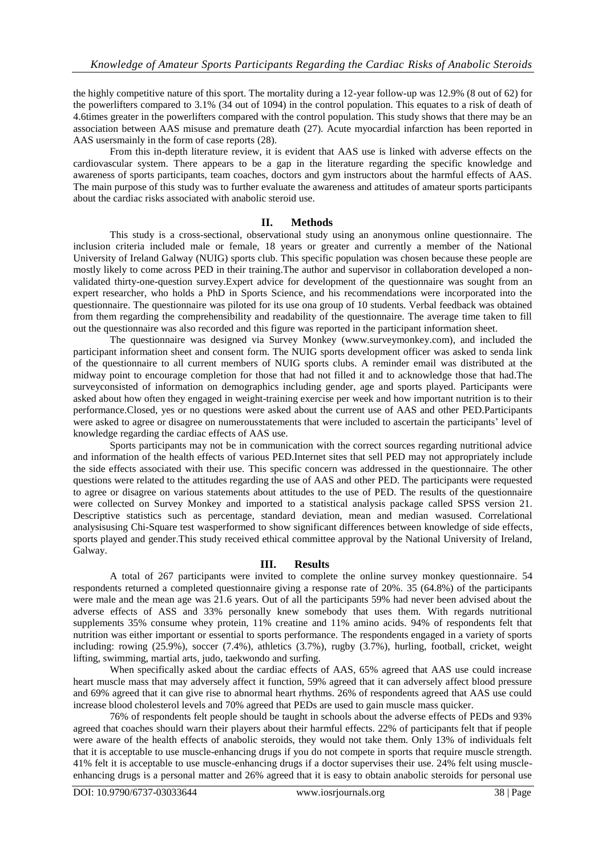the highly competitive nature of this sport. The mortality during a 12-year follow-up was 12.9% (8 out of 62) for the powerlifters compared to 3.1% (34 out of 1094) in the control population. This equates to a risk of death of 4.6times greater in the powerlifters compared with the control population. This study shows that there may be an association between AAS misuse and premature death (27). Acute myocardial infarction has been reported in AAS usersmainly in the form of case reports (28).

From this in-depth literature review, it is evident that AAS use is linked with adverse effects on the cardiovascular system. There appears to be a gap in the literature regarding the specific knowledge and awareness of sports participants, team coaches, doctors and gym instructors about the harmful effects of AAS. The main purpose of this study was to further evaluate the awareness and attitudes of amateur sports participants about the cardiac risks associated with anabolic steroid use.

# **II. Methods**

This study is a cross-sectional, observational study using an anonymous online questionnaire. The inclusion criteria included male or female, 18 years or greater and currently a member of the National University of Ireland Galway (NUIG) sports club. This specific population was chosen because these people are mostly likely to come across PED in their training.The author and supervisor in collaboration developed a nonvalidated thirty-one-question survey.Expert advice for development of the questionnaire was sought from an expert researcher, who holds a PhD in Sports Science, and his recommendations were incorporated into the questionnaire. The questionnaire was piloted for its use ona group of 10 students. Verbal feedback was obtained from them regarding the comprehensibility and readability of the questionnaire. The average time taken to fill out the questionnaire was also recorded and this figure was reported in the participant information sheet.

The questionnaire was designed via Survey Monkey (www.surveymonkey.com), and included the participant information sheet and consent form. The NUIG sports development officer was asked to senda link of the questionnaire to all current members of NUIG sports clubs. A reminder email was distributed at the midway point to encourage completion for those that had not filled it and to acknowledge those that had.The surveyconsisted of information on demographics including gender, age and sports played. Participants were asked about how often they engaged in weight-training exercise per week and how important nutrition is to their performance.Closed, yes or no questions were asked about the current use of AAS and other PED.Participants were asked to agree or disagree on numerousstatements that were included to ascertain the participants' level of knowledge regarding the cardiac effects of AAS use.

Sports participants may not be in communication with the correct sources regarding nutritional advice and information of the health effects of various PED.Internet sites that sell PED may not appropriately include the side effects associated with their use. This specific concern was addressed in the questionnaire. The other questions were related to the attitudes regarding the use of AAS and other PED. The participants were requested to agree or disagree on various statements about attitudes to the use of PED. The results of the questionnaire were collected on Survey Monkey and imported to a statistical analysis package called SPSS version 21. Descriptive statistics such as percentage, standard deviation, mean and median wasused. Correlational analysisusing Chi-Square test wasperformed to show significant differences between knowledge of side effects, sports played and gender.This study received ethical committee approval by the National University of Ireland, Galway.

# **III. Results**

A total of 267 participants were invited to complete the online survey monkey questionnaire. 54 respondents returned a completed questionnaire giving a response rate of 20%. 35 (64.8%) of the participants were male and the mean age was 21.6 years. Out of all the participants 59% had never been advised about the adverse effects of ASS and 33% personally knew somebody that uses them. With regards nutritional supplements 35% consume whey protein, 11% creatine and 11% amino acids. 94% of respondents felt that nutrition was either important or essential to sports performance. The respondents engaged in a variety of sports including: rowing (25.9%), soccer (7.4%), athletics (3.7%), rugby (3.7%), hurling, football, cricket, weight lifting, swimming, martial arts, judo, taekwondo and surfing.

When specifically asked about the cardiac effects of AAS, 65% agreed that AAS use could increase heart muscle mass that may adversely affect it function, 59% agreed that it can adversely affect blood pressure and 69% agreed that it can give rise to abnormal heart rhythms. 26% of respondents agreed that AAS use could increase blood cholesterol levels and 70% agreed that PEDs are used to gain muscle mass quicker.

76% of respondents felt people should be taught in schools about the adverse effects of PEDs and 93% agreed that coaches should warn their players about their harmful effects. 22% of participants felt that if people were aware of the health effects of anabolic steroids, they would not take them. Only 13% of individuals felt that it is acceptable to use muscle-enhancing drugs if you do not compete in sports that require muscle strength. 41% felt it is acceptable to use muscle-enhancing drugs if a doctor supervises their use. 24% felt using muscleenhancing drugs is a personal matter and 26% agreed that it is easy to obtain anabolic steroids for personal use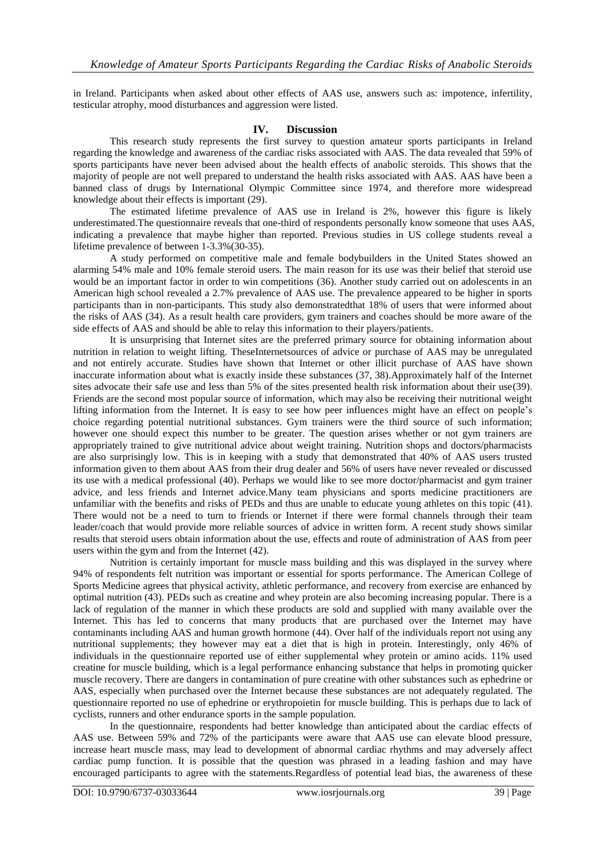in Ireland. Participants when asked about other effects of AAS use, answers such as: impotence, infertility, testicular atrophy, mood disturbances and aggression were listed.

#### **IV. Discussion**

This research study represents the first survey to question amateur sports participants in Ireland regarding the knowledge and awareness of the cardiac risks associated with AAS. The data revealed that 59% of sports participants have never been advised about the health effects of anabolic steroids. This shows that the majority of people are not well prepared to understand the health risks associated with AAS. AAS have been a banned class of drugs by International Olympic Committee since 1974, and therefore more widespread knowledge about their effects is important (29).

The estimated lifetime prevalence of AAS use in Ireland is 2%, however this figure is likely underestimated.The questionnaire reveals that one-third of respondents personally know someone that uses AAS, indicating a prevalence that maybe higher than reported. Previous studies in US college students reveal a lifetime prevalence of between 1-3.3%(30-35).

A study performed on competitive male and female bodybuilders in the United States showed an alarming 54% male and 10% female steroid users. The main reason for its use was their belief that steroid use would be an important factor in order to win competitions (36). Another study carried out on adolescents in an American high school revealed a 2.7% prevalence of AAS use. The prevalence appeared to be higher in sports participants than in non-participants. This study also demonstratedthat 18% of users that were informed about the risks of AAS (34). As a result health care providers, gym trainers and coaches should be more aware of the side effects of AAS and should be able to relay this information to their players/patients.

It is unsurprising that Internet sites are the preferred primary source for obtaining information about nutrition in relation to weight lifting. TheseInternetsources of advice or purchase of AAS may be unregulated and not entirely accurate. Studies have shown that Internet or other illicit purchase of AAS have shown inaccurate information about what is exactly inside these substances (37, 38).Approximately half of the Internet sites advocate their safe use and less than 5% of the sites presented health risk information about their use(39). Friends are the second most popular source of information, which may also be receiving their nutritional weight lifting information from the Internet. It is easy to see how peer influences might have an effect on people's choice regarding potential nutritional substances. Gym trainers were the third source of such information; however one should expect this number to be greater. The question arises whether or not gym trainers are appropriately trained to give nutritional advice about weight training. Nutrition shops and doctors/pharmacists are also surprisingly low. This is in keeping with a study that demonstrated that 40% of AAS users trusted information given to them about AAS from their drug dealer and 56% of users have never revealed or discussed its use with a medical professional (40). Perhaps we would like to see more doctor/pharmacist and gym trainer advice, and less friends and Internet advice.Many team physicians and sports medicine practitioners are unfamiliar with the benefits and risks of PEDs and thus are unable to educate young athletes on this topic (41). There would not be a need to turn to friends or Internet if there were formal channels through their team leader/coach that would provide more reliable sources of advice in written form. A recent study shows similar results that steroid users obtain information about the use, effects and route of administration of AAS from peer users within the gym and from the Internet (42).

Nutrition is certainly important for muscle mass building and this was displayed in the survey where 94% of respondents felt nutrition was important or essential for sports performance. The American College of Sports Medicine agrees that physical activity, athletic performance, and recovery from exercise are enhanced by optimal nutrition (43). PEDs such as creatine and whey protein are also becoming increasing popular. There is a lack of regulation of the manner in which these products are sold and supplied with many available over the Internet. This has led to concerns that many products that are purchased over the Internet may have contaminants including AAS and human growth hormone (44). Over half of the individuals report not using any nutritional supplements; they however may eat a diet that is high in protein. Interestingly, only 46% of individuals in the questionnaire reported use of either supplemental whey protein or amino acids. 11% used creatine for muscle building, which is a legal performance enhancing substance that helps in promoting quicker muscle recovery. There are dangers in contamination of pure creatine with other substances such as ephedrine or AAS, especially when purchased over the Internet because these substances are not adequately regulated. The questionnaire reported no use of ephedrine or erythropoietin for muscle building. This is perhaps due to lack of cyclists, runners and other endurance sports in the sample population.

In the questionnaire, respondents had better knowledge than anticipated about the cardiac effects of AAS use. Between 59% and 72% of the participants were aware that AAS use can elevate blood pressure, increase heart muscle mass, may lead to development of abnormal cardiac rhythms and may adversely affect cardiac pump function. It is possible that the question was phrased in a leading fashion and may have encouraged participants to agree with the statements.Regardless of potential lead bias, the awareness of these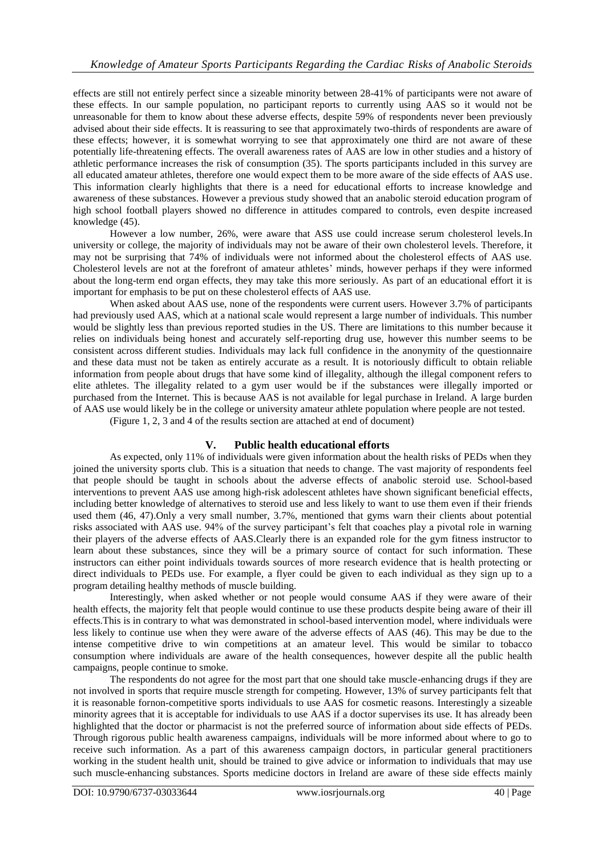effects are still not entirely perfect since a sizeable minority between 28-41% of participants were not aware of these effects. In our sample population, no participant reports to currently using AAS so it would not be unreasonable for them to know about these adverse effects, despite 59% of respondents never been previously advised about their side effects. It is reassuring to see that approximately two-thirds of respondents are aware of these effects; however, it is somewhat worrying to see that approximately one third are not aware of these potentially life-threatening effects. The overall awareness rates of AAS are low in other studies and a history of athletic performance increases the risk of consumption (35). The sports participants included in this survey are all educated amateur athletes, therefore one would expect them to be more aware of the side effects of AAS use. This information clearly highlights that there is a need for educational efforts to increase knowledge and awareness of these substances. However a previous study showed that an anabolic steroid education program of high school football players showed no difference in attitudes compared to controls, even despite increased knowledge (45).

However a low number, 26%, were aware that ASS use could increase serum cholesterol levels.In university or college, the majority of individuals may not be aware of their own cholesterol levels. Therefore, it may not be surprising that 74% of individuals were not informed about the cholesterol effects of AAS use. Cholesterol levels are not at the forefront of amateur athletes' minds, however perhaps if they were informed about the long-term end organ effects, they may take this more seriously. As part of an educational effort it is important for emphasis to be put on these cholesterol effects of AAS use.

When asked about AAS use, none of the respondents were current users. However 3.7% of participants had previously used AAS, which at a national scale would represent a large number of individuals. This number would be slightly less than previous reported studies in the US. There are limitations to this number because it relies on individuals being honest and accurately self-reporting drug use, however this number seems to be consistent across different studies. Individuals may lack full confidence in the anonymity of the questionnaire and these data must not be taken as entirely accurate as a result. It is notoriously difficult to obtain reliable information from people about drugs that have some kind of illegality, although the illegal component refers to elite athletes. The illegality related to a gym user would be if the substances were illegally imported or purchased from the Internet. This is because AAS is not available for legal purchase in Ireland. A large burden of AAS use would likely be in the college or university amateur athlete population where people are not tested.

(Figure 1, 2, 3 and 4 of the results section are attached at end of document)

# **V. Public health educational efforts**

As expected, only 11% of individuals were given information about the health risks of PEDs when they joined the university sports club. This is a situation that needs to change. The vast majority of respondents feel that people should be taught in schools about the adverse effects of anabolic steroid use. School-based interventions to prevent AAS use among high-risk adolescent athletes have shown significant beneficial effects, including better knowledge of alternatives to steroid use and less likely to want to use them even if their friends used them (46, 47).Only a very small number, 3.7%, mentioned that gyms warn their clients about potential risks associated with AAS use. 94% of the survey participant's felt that coaches play a pivotal role in warning their players of the adverse effects of AAS.Clearly there is an expanded role for the gym fitness instructor to learn about these substances, since they will be a primary source of contact for such information. These instructors can either point individuals towards sources of more research evidence that is health protecting or direct individuals to PEDs use. For example, a flyer could be given to each individual as they sign up to a program detailing healthy methods of muscle building.

Interestingly, when asked whether or not people would consume AAS if they were aware of their health effects, the majority felt that people would continue to use these products despite being aware of their ill effects.This is in contrary to what was demonstrated in school-based intervention model, where individuals were less likely to continue use when they were aware of the adverse effects of AAS (46). This may be due to the intense competitive drive to win competitions at an amateur level. This would be similar to tobacco consumption where individuals are aware of the health consequences, however despite all the public health campaigns, people continue to smoke.

The respondents do not agree for the most part that one should take muscle-enhancing drugs if they are not involved in sports that require muscle strength for competing. However, 13% of survey participants felt that it is reasonable fornon-competitive sports individuals to use AAS for cosmetic reasons. Interestingly a sizeable minority agrees that it is acceptable for individuals to use AAS if a doctor supervises its use. It has already been highlighted that the doctor or pharmacist is not the preferred source of information about side effects of PEDs. Through rigorous public health awareness campaigns, individuals will be more informed about where to go to receive such information. As a part of this awareness campaign doctors, in particular general practitioners working in the student health unit, should be trained to give advice or information to individuals that may use such muscle-enhancing substances. Sports medicine doctors in Ireland are aware of these side effects mainly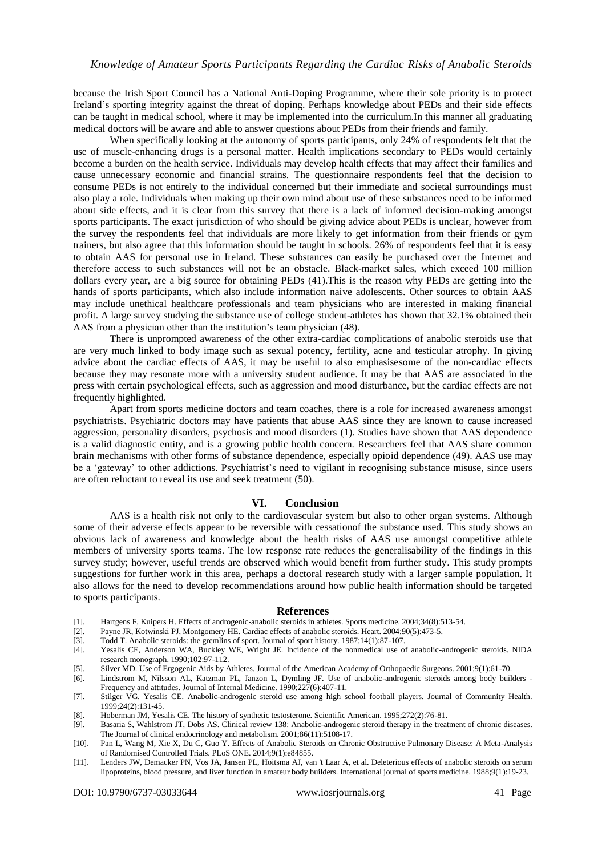because the Irish Sport Council has a National Anti-Doping Programme, where their sole priority is to protect Ireland's sporting integrity against the threat of doping. Perhaps knowledge about PEDs and their side effects can be taught in medical school, where it may be implemented into the curriculum.In this manner all graduating medical doctors will be aware and able to answer questions about PEDs from their friends and family.

When specifically looking at the autonomy of sports participants, only 24% of respondents felt that the use of muscle-enhancing drugs is a personal matter. Health implications secondary to PEDs would certainly become a burden on the health service. Individuals may develop health effects that may affect their families and cause unnecessary economic and financial strains. The questionnaire respondents feel that the decision to consume PEDs is not entirely to the individual concerned but their immediate and societal surroundings must also play a role. Individuals when making up their own mind about use of these substances need to be informed about side effects, and it is clear from this survey that there is a lack of informed decision-making amongst sports participants. The exact jurisdiction of who should be giving advice about PEDs is unclear, however from the survey the respondents feel that individuals are more likely to get information from their friends or gym trainers, but also agree that this information should be taught in schools. 26% of respondents feel that it is easy to obtain AAS for personal use in Ireland. These substances can easily be purchased over the Internet and therefore access to such substances will not be an obstacle. Black-market sales, which exceed 100 million dollars every year, are a big source for obtaining PEDs (41).This is the reason why PEDs are getting into the hands of sports participants, which also include information naive adolescents. Other sources to obtain AAS may include unethical healthcare professionals and team physicians who are interested in making financial profit. A large survey studying the substance use of college student-athletes has shown that 32.1% obtained their AAS from a physician other than the institution's team physician (48).

There is unprompted awareness of the other extra-cardiac complications of anabolic steroids use that are very much linked to body image such as sexual potency, fertility, acne and testicular atrophy. In giving advice about the cardiac effects of AAS, it may be useful to also emphasisesome of the non-cardiac effects because they may resonate more with a university student audience. It may be that AAS are associated in the press with certain psychological effects, such as aggression and mood disturbance, but the cardiac effects are not frequently highlighted.

Apart from sports medicine doctors and team coaches, there is a role for increased awareness amongst psychiatrists. Psychiatric doctors may have patients that abuse AAS since they are known to cause increased aggression, personality disorders, psychosis and mood disorders (1). Studies have shown that AAS dependence is a valid diagnostic entity, and is a growing public health concern. Researchers feel that AAS share common brain mechanisms with other forms of substance dependence, especially opioid dependence (49). AAS use may be a 'gateway' to other addictions. Psychiatrist's need to vigilant in recognising substance misuse, since users are often reluctant to reveal its use and seek treatment (50).

#### **VI. Conclusion**

AAS is a health risk not only to the cardiovascular system but also to other organ systems. Although some of their adverse effects appear to be reversible with cessationof the substance used. This study shows an obvious lack of awareness and knowledge about the health risks of AAS use amongst competitive athlete members of university sports teams. The low response rate reduces the generalisability of the findings in this survey study; however, useful trends are observed which would benefit from further study. This study prompts suggestions for further work in this area, perhaps a doctoral research study with a larger sample population. It also allows for the need to develop recommendations around how public health information should be targeted to sports participants.

#### **References**

- [1]. Hartgens F, Kuipers H. Effects of androgenic-anabolic steroids in athletes. Sports medicine. 2004;34(8):513-54.
- Payne JR, Kotwinski PJ, Montgomery HE. Cardiac effects of anabolic steroids. Heart. 2004;90(5):473-5.
- [3]. Todd T. Anabolic steroids: the gremlins of sport. Journal of sport history. 1987;14(1):87-107.
- [4]. Yesalis CE, Anderson WA, Buckley WE, Wright JE. Incidence of the nonmedical use of anabolic-androgenic steroids. NIDA research monograph. 1990;102:97-112.
- [5]. Silver MD. Use of Ergogenic Aids by Athletes. Journal of the American Academy of Orthopaedic Surgeons. 2001;9(1):61-70.
- [6]. Lindstrom M, Nilsson AL, Katzman PL, Janzon L, Dymling JF. Use of anabolic-androgenic steroids among body builders Frequency and attitudes. Journal of Internal Medicine. 1990;227(6):407-11.
- [7]. Stilger VG, Yesalis CE. Anabolic-androgenic steroid use among high school football players. Journal of Community Health. 1999;24(2):131-45.
- [8]. Hoberman JM, Yesalis CE. The history of synthetic testosterone. Scientific American. 1995;272(2):76-81.
- [9]. Basaria S, Wahlstrom JT, Dobs AS. Clinical review 138: Anabolic-androgenic steroid therapy in the treatment of chronic diseases. The Journal of clinical endocrinology and metabolism. 2001;86(11):5108-17.
- [10]. Pan L, Wang M, Xie X, Du C, Guo Y. Effects of Anabolic Steroids on Chronic Obstructive Pulmonary Disease: A Meta-Analysis of Randomised Controlled Trials. PLoS ONE. 2014;9(1):e84855.
- [11]. Lenders JW, Demacker PN, Vos JA, Jansen PL, Hoitsma AJ, van 't Laar A, et al. Deleterious effects of anabolic steroids on serum lipoproteins, blood pressure, and liver function in amateur body builders. International journal of sports medicine. 1988;9(1):19-23.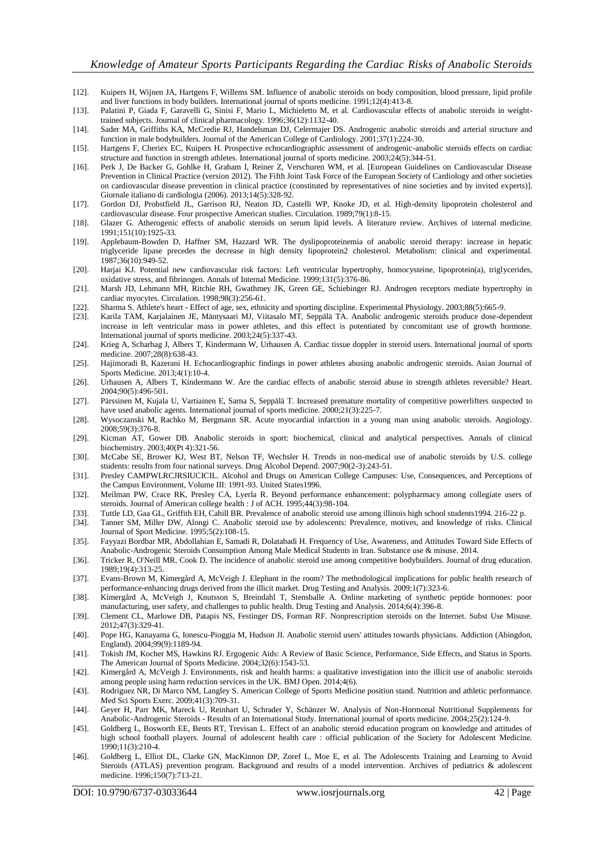- [12]. Kuipers H, Wijnen JA, Hartgens F, Willems SM. Influence of anabolic steroids on body composition, blood pressure, lipid profile and liver functions in body builders. International journal of sports medicine. 1991;12(4):413-8.
- [13]. Palatini P, Giada F, Garavelli G, Sinisi F, Mario L, Michieletto M, et al. Cardiovascular effects of anabolic steroids in weighttrained subjects. Journal of clinical pharmacology. 1996;36(12):1132-40.
- [14]. Sader MA, Griffiths KA, McCredie RJ, Handelsman DJ, Celermajer DS. Androgenic anabolic steroids and arterial structure and function in male bodybuilders. Journal of the American College of Cardiology. 2001;37(1):224-30.
- [15]. Hartgens F, Cheriex EC, Kuipers H. Prospective echocardiographic assessment of androgenic-anabolic steroids effects on cardiac structure and function in strength athletes. International journal of sports medicine. 2003;24(5):344-51.
- [16]. Perk J, De Backer G, Gohlke H, Graham I, Reiner Z, Verschuren WM, et al. [European Guidelines on Cardiovascular Disease Prevention in Clinical Practice (version 2012). The Fifth Joint Task Force of the European Society of Cardiology and other societies on cardiovascular disease prevention in clinical practice (constituted by representatives of nine societies and by invited experts)]. Giornale italiano di cardiologia (2006). 2013;14(5):328-92.
- [17]. Gordon DJ, Probstfield JL, Garrison RJ, Neaton JD, Castelli WP, Knoke JD, et al. High-density lipoprotein cholesterol and cardiovascular disease. Four prospective American studies. Circulation. 1989;79(1):8-15.
- [18]. Glazer G. Atherogenic effects of anabolic steroids on serum lipid levels. A literature review. Archives of internal medicine. 1991;151(10):1925-33.
- [19]. Applebaum-Bowden D, Haffner SM, Hazzard WR. The dyslipoproteinemia of anabolic steroid therapy: increase in hepatic triglyceride lipase precedes the decrease in high density lipoprotein2 cholesterol. Metabolism: clinical and experimental. 1987;36(10):949-52.
- [20]. Harjai KJ. Potential new cardiovascular risk factors: Left ventricular hypertrophy, homocysteine, lipoprotein(a), triglycerides, oxidative stress, and fibrinogen. Annals of Internal Medicine. 1999;131(5):376-86.
- [21]. Marsh JD, Lehmann MH, Ritchie RH, Gwathmey JK, Green GE, Schiebinger RJ. Androgen receptors mediate hypertrophy in cardiac myocytes. Circulation. 1998;98(3):256-61.
- [22]. Sharma S. Athlete's heart Effect of age, sex, ethnicity and sporting discipline. Experimental Physiology. 2003;88(5):665-9.
- Karila TAM, Karjalainen JE, Mäntysaari MJ, Viitasalo MT, Seppälä TA. Anabolic androgenic steroids produce dose-dependent increase in left ventricular mass in power athletes, and this effect is potentiated by concomitant use of growth hormone. International journal of sports medicine. 2003;24(5):337-43.
- [24]. Krieg A, Scharhag J, Albers T, Kindermann W, Urhausen A. Cardiac tissue doppler in steroid users. International journal of sports medicine. 2007;28(8):638-43.
- [25]. Hajimoradi B, Kazerani H. Echocardiographic findings in power athletes abusing anabolic androgenic steroids. Asian Journal of Sports Medicine. 2013;4(1):10-4.
- [26]. Urhausen A, Albers T, Kindermann W. Are the cardiac effects of anabolic steroid abuse in strength athletes reversible? Heart. 2004;90(5):496-501.
- [27]. Pärssinen M, Kujala U, Vartiainen E, Sarna S, Seppälä T. Increased premature mortality of competitive powerlifters suspected to have used anabolic agents. International journal of sports medicine. 2000;21(3):225-7.
- [28]. Wysoczanski M, Rachko M, Bergmann SR. Acute myocardial infarction in a young man using anabolic steroids. Angiology. 2008;59(3):376-8.
- [29]. Kicman AT, Gower DB. Anabolic steroids in sport: biochemical, clinical and analytical perspectives. Annals of clinical biochemistry. 2003;40(Pt 4):321-56.
- [30]. McCabe SE, Brower KJ, West BT, Nelson TF, Wechsler H. Trends in non-medical use of anabolic steroids by U.S. college students: results from four national surveys. Drug Alcohol Depend. 2007;90(2-3):243-51.
- [31]. Presley CAMPWLRCJRSIUCICIL. Alcohol and Drugs on American College Campuses: Use, Consequences, and Perceptions of the Campus Environment, Volume III: 1991-93. United States1996.
- [32]. Meilman PW, Crace RK, Presley CA, Lyerla R. Beyond performance enhancement: polypharmacy among collegiate users of steroids. Journal of American college health : J of ACH. 1995;44(3):98-104.
- [33]. Tuttle LD, Gaa GL, Griffith EH, Cahill BR. Prevalence of anabolic steroid use among illinois high school students1994. 216-22 p.
- [34]. Tanner SM, Miller DW, Alongi C. Anabolic steroid use by adolescents: Prevalence, motives, and knowledge of risks. Clinical Journal of Sport Medicine. 1995;5(2):108-15.
- [35]. Fayyazi Bordbar MR, Abdollahian E, Samadi R, Dolatabadi H. Frequency of Use, Awareness, and Attitudes Toward Side Effects of Anabolic-Androgenic Steroids Consumption Among Male Medical Students in Iran. Substance use & misuse. 2014.
- [36]. Tricker R, O'Neill MR, Cook D. The incidence of anabolic steroid use among competitive bodybuilders. Journal of drug education. 1989;19(4):313-25.
- [37]. Evans-Brown M, Kimergård A, McVeigh J. Elephant in the room? The methodological implications for public health research of performance-enhancing drugs derived from the illicit market. Drug Testing and Analysis. 2009;1(7):323-6.
- [38]. Kimergård A, McVeigh J, Knutsson S, Breindahl T, Stensballe A. Online marketing of synthetic peptide hormones: poor manufacturing, user safety, and challenges to public health. Drug Testing and Analysis. 2014;6(4):396-8.
- [39]. Clement CL, Marlowe DB, Patapis NS, Festinger DS, Forman RF. Nonprescription steroids on the Internet. Subst Use Misuse. 2012;47(3):329-41.
- [40]. Pope HG, Kanayama G, Ionescu-Pioggia M, Hudson JI. Anabolic steroid users' attitudes towards physicians. Addiction (Abingdon, England). 2004;99(9):1189-94.
- [41]. Tokish JM, Kocher MS, Hawkins RJ. Ergogenic Aids: A Review of Basic Science, Performance, Side Effects, and Status in Sports. The American Journal of Sports Medicine. 2004;32(6):1543-53.
- [42]. Kimergård A, McVeigh J. Environments, risk and health harms: a qualitative investigation into the illicit use of anabolic steroids among people using harm reduction services in the UK. BMJ Open. 2014;4(6).
- [43]. Rodriguez NR, Di Marco NM, Langley S. American College of Sports Medicine position stand. Nutrition and athletic performance. Med Sci Sports Exerc. 2009;41(3):709-31.
- [44]. Geyer H, Parr MK, Mareck U, Reinhart U, Schrader Y, Schänzer W. Analysis of Non-Hormonal Nutritional Supplements for Anabolic-Androgenic Steroids - Results of an International Study. International journal of sports medicine. 2004;25(2):124-9.
- [45]. Goldberg L, Bosworth EE, Bents RT, Trevisan L. Effect of an anabolic steroid education program on knowledge and attitudes of high school football players. Journal of adolescent health care : official publication of the Society for Adolescent Medicine. 1990;11(3):210-4.
- [46]. Goldberg L, Elliot DL, Clarke GN, MacKinnon DP, Zoref L, Moe E, et al. The Adolescents Training and Learning to Avoid Steroids (ATLAS) prevention program. Background and results of a model intervention. Archives of pediatrics & adolescent medicine. 1996;150(7):713-21.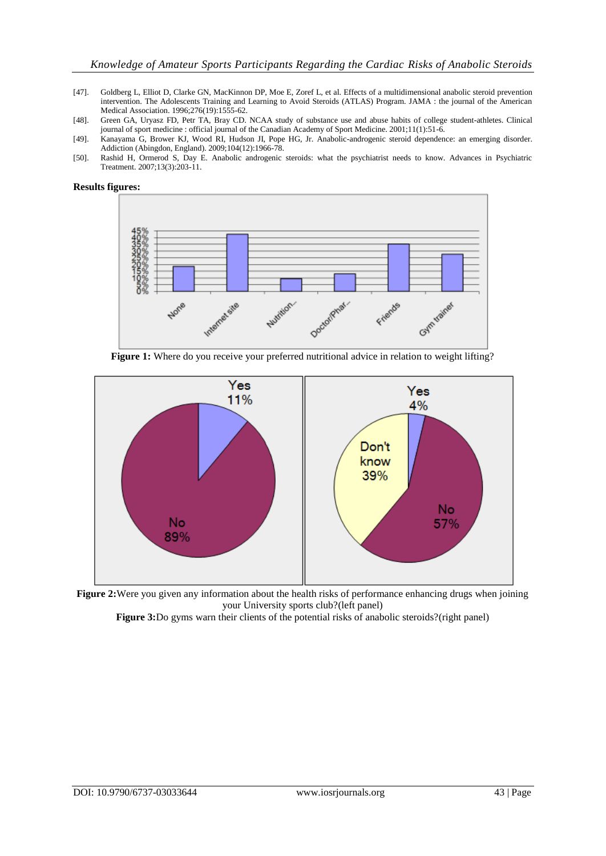- [47]. Goldberg L, Elliot D, Clarke GN, MacKinnon DP, Moe E, Zoref L, et al. Effects of a multidimensional anabolic steroid prevention intervention. The Adolescents Training and Learning to Avoid Steroids (ATLAS) Program. JAMA : the journal of the American Medical Association. 1996;276(19):1555-62.
- [48]. Green GA, Uryasz FD, Petr TA, Bray CD. NCAA study of substance use and abuse habits of college student-athletes. Clinical journal of sport medicine : official journal of the Canadian Academy of Sport Medicine. 2001;11(1):51-6.
- [49]. Kanayama G, Brower KJ, Wood RI, Hudson JI, Pope HG, Jr. Anabolic-androgenic steroid dependence: an emerging disorder. Addiction (Abingdon, England). 2009;104(12):1966-78.
- [50]. Rashid H, Ormerod S, Day E. Anabolic androgenic steroids: what the psychiatrist needs to know. Advances in Psychiatric Treatment. 2007;13(3):203-11.



**Figure 1:** Where do you receive your preferred nutritional advice in relation to weight lifting?



**Figure 2:**Were you given any information about the health risks of performance enhancing drugs when joining your University sports club?(left panel)

Figure 3:Do gyms warn their clients of the potential risks of anabolic steroids?(right panel)